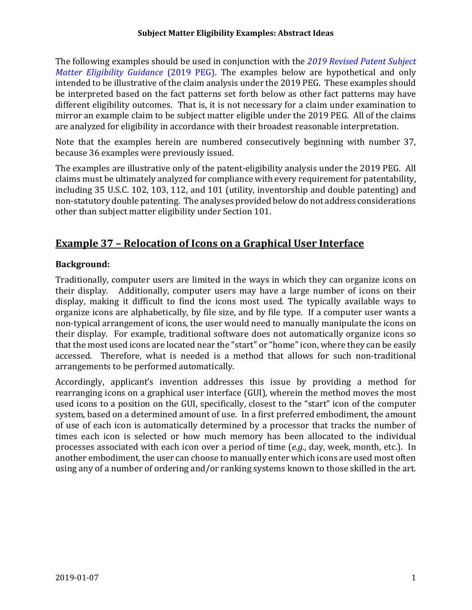#### **Subject Matter Eligibility Examples: Abstract Ideas**

The following examples should be used in conjunction with the *2019 Revised Patent Subject Matter Eligibility Guidance* (2019 PEG). The examples below are hypothetical and only intended to be illustrative of the claim analysis under the 2019 PEG. These examples should be interpreted based on the fact patterns set forth below as other fact patterns may have different eligibility outcomes. That is, it is not necessary for a claim under examination to mirror an example claim to be subject matter eligible under the 2019 PEG. All of the claims are analyzed for eligibility in accordance with their broadest reasonable interpretation.

Note that the examples herein are numbered consecutively beginning with number 37, because 36 examples were previously issued.

The examples are illustrative only of the patent-eligibility analysis under the 2019 PEG. All claims must be ultimately analyzed for compliance with every requirement for patentability, including 35 U.S.C. 102, 103, 112, and 101 (utility, inventorship and double patenting) and non-statutory double patenting. The analyses provided below do not address considerations other than subject matter eligibility under Section 101.

## **Example 37 – Relocation of Icons on a Graphical User Interface**

### **Background:**

Traditionally, computer users are limited in the ways in which they can organize icons on their display. Additionally, computer users may have a large number of icons on their display, making it difficult to find the icons most used. The typically available ways to organize icons are alphabetically, by file size, and by file type. If a computer user wants a non-typical arrangement of icons, the user would need to manually manipulate the icons on their display. For example, traditional software does not automatically organize icons so that the most used icons are located near the "start" or "home" icon, where they can be easily accessed. Therefore, what is needed is a method that allows for such non-traditional arrangements to be performed automatically.

Accordingly, applicant's invention addresses this issue by providing a method for rearranging icons on a graphical user interface (GUI), wherein the method moves the most used icons to a position on the GUI, specifically, closest to the "start" icon of the computer system, based on a determined amount of use. In a first preferred embodiment, the amount of use of each icon is automatically determined by a processor that tracks the number of times each icon is selected or how much memory has been allocated to the individual processes associated with each icon over a period of time (*e.g.*, day, week, month, etc.). In another embodiment, the user can choose to manually enter which icons are used most often using any of a number of ordering and/or ranking systems known to those skilled in the art.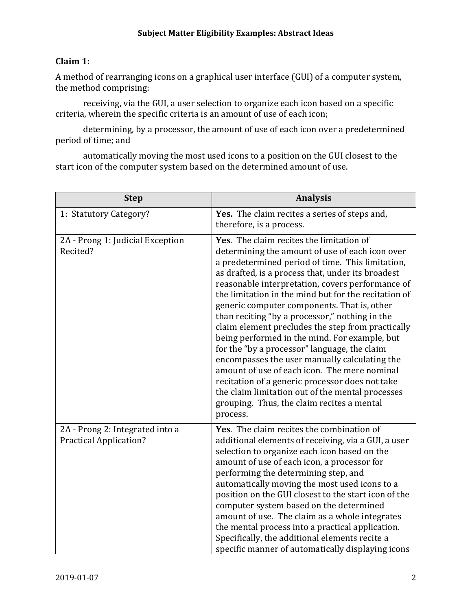## **Claim 1:**

A method of rearranging icons on a graphical user interface (GUI) of a computer system, the method comprising:

receiving, via the GUI, a user selection to organize each icon based on a specific criteria, wherein the specific criteria is an amount of use of each icon;

determining, by a processor, the amount of use of each icon over a predetermined period of time; and

automatically moving the most used icons to a position on the GUI closest to the start icon of the computer system based on the determined amount of use.

| <b>Step</b>                                                      | <b>Analysis</b>                                                                                                                                                                                                                                                                                                                                                                                                                                                                                                                                                                                                                                                                                                                                                                                                                           |
|------------------------------------------------------------------|-------------------------------------------------------------------------------------------------------------------------------------------------------------------------------------------------------------------------------------------------------------------------------------------------------------------------------------------------------------------------------------------------------------------------------------------------------------------------------------------------------------------------------------------------------------------------------------------------------------------------------------------------------------------------------------------------------------------------------------------------------------------------------------------------------------------------------------------|
| 1: Statutory Category?                                           | Yes. The claim recites a series of steps and,<br>therefore, is a process.                                                                                                                                                                                                                                                                                                                                                                                                                                                                                                                                                                                                                                                                                                                                                                 |
| 2A - Prong 1: Judicial Exception<br>Recited?                     | Yes. The claim recites the limitation of<br>determining the amount of use of each icon over<br>a predetermined period of time. This limitation,<br>as drafted, is a process that, under its broadest<br>reasonable interpretation, covers performance of<br>the limitation in the mind but for the recitation of<br>generic computer components. That is, other<br>than reciting "by a processor," nothing in the<br>claim element precludes the step from practically<br>being performed in the mind. For example, but<br>for the "by a processor" language, the claim<br>encompasses the user manually calculating the<br>amount of use of each icon. The mere nominal<br>recitation of a generic processor does not take<br>the claim limitation out of the mental processes<br>grouping. Thus, the claim recites a mental<br>process. |
| 2A - Prong 2: Integrated into a<br><b>Practical Application?</b> | Yes. The claim recites the combination of<br>additional elements of receiving, via a GUI, a user<br>selection to organize each icon based on the<br>amount of use of each icon, a processor for<br>performing the determining step, and<br>automatically moving the most used icons to a<br>position on the GUI closest to the start icon of the<br>computer system based on the determined<br>amount of use. The claim as a whole integrates<br>the mental process into a practical application.<br>Specifically, the additional elements recite a<br>specific manner of automatically displaying icons                                                                                                                                                                                                                                  |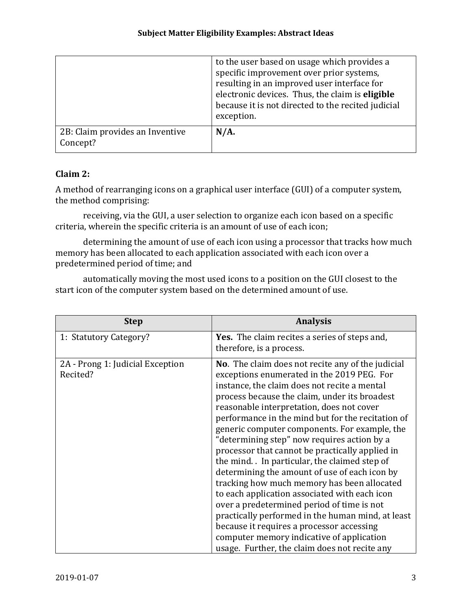|                                             | to the user based on usage which provides a<br>specific improvement over prior systems,<br>resulting in an improved user interface for<br>electronic devices. Thus, the claim is eligible<br>because it is not directed to the recited judicial<br>exception. |
|---------------------------------------------|---------------------------------------------------------------------------------------------------------------------------------------------------------------------------------------------------------------------------------------------------------------|
| 2B: Claim provides an Inventive<br>Concept? | N/A.                                                                                                                                                                                                                                                          |

### **Claim 2:**

A method of rearranging icons on a graphical user interface (GUI) of a computer system, the method comprising:

receiving, via the GUI, a user selection to organize each icon based on a specific criteria, wherein the specific criteria is an amount of use of each icon;

determining the amount of use of each icon using a processor that tracks how much memory has been allocated to each application associated with each icon over a predetermined period of time; and

automatically moving the most used icons to a position on the GUI closest to the start icon of the computer system based on the determined amount of use.

| <b>Step</b>                                  | <b>Analysis</b>                                                                                                                                                                                                                                                                                                                                                                                                                                                                                                                                                                                                                                                                                                                                                                                                                                                                                             |
|----------------------------------------------|-------------------------------------------------------------------------------------------------------------------------------------------------------------------------------------------------------------------------------------------------------------------------------------------------------------------------------------------------------------------------------------------------------------------------------------------------------------------------------------------------------------------------------------------------------------------------------------------------------------------------------------------------------------------------------------------------------------------------------------------------------------------------------------------------------------------------------------------------------------------------------------------------------------|
| 1: Statutory Category?                       | <b>Yes.</b> The claim recites a series of steps and,<br>therefore, is a process.                                                                                                                                                                                                                                                                                                                                                                                                                                                                                                                                                                                                                                                                                                                                                                                                                            |
| 2A - Prong 1: Judicial Exception<br>Recited? | <b>No.</b> The claim does not recite any of the judicial<br>exceptions enumerated in the 2019 PEG. For<br>instance, the claim does not recite a mental<br>process because the claim, under its broadest<br>reasonable interpretation, does not cover<br>performance in the mind but for the recitation of<br>generic computer components. For example, the<br>"determining step" now requires action by a<br>processor that cannot be practically applied in<br>the mind. In particular, the claimed step of<br>determining the amount of use of each icon by<br>tracking how much memory has been allocated<br>to each application associated with each icon<br>over a predetermined period of time is not<br>practically performed in the human mind, at least<br>because it requires a processor accessing<br>computer memory indicative of application<br>usage. Further, the claim does not recite any |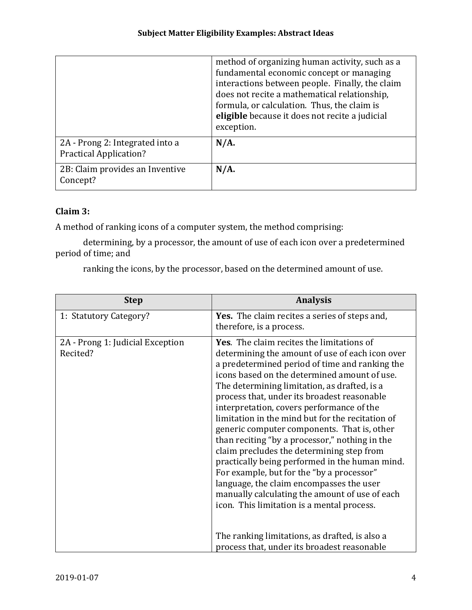|                                                                  | method of organizing human activity, such as a<br>fundamental economic concept or managing<br>interactions between people. Finally, the claim<br>does not recite a mathematical relationship,<br>formula, or calculation. Thus, the claim is<br>eligible because it does not recite a judicial<br>exception. |
|------------------------------------------------------------------|--------------------------------------------------------------------------------------------------------------------------------------------------------------------------------------------------------------------------------------------------------------------------------------------------------------|
| 2A - Prong 2: Integrated into a<br><b>Practical Application?</b> | $N/A$ .                                                                                                                                                                                                                                                                                                      |
| 2B: Claim provides an Inventive<br>Concept?                      | $N/A$ .                                                                                                                                                                                                                                                                                                      |

### **Claim 3:**

A method of ranking icons of a computer system, the method comprising:

determining, by a processor, the amount of use of each icon over a predetermined period of time; and

ranking the icons, by the processor, based on the determined amount of use.

| <b>Step</b>                                  | <b>Analysis</b>                                                                                                                                                                                                                                                                                                                                                                                                                                                                                                                                                                                                                                                                                                                                                                         |
|----------------------------------------------|-----------------------------------------------------------------------------------------------------------------------------------------------------------------------------------------------------------------------------------------------------------------------------------------------------------------------------------------------------------------------------------------------------------------------------------------------------------------------------------------------------------------------------------------------------------------------------------------------------------------------------------------------------------------------------------------------------------------------------------------------------------------------------------------|
| 1: Statutory Category?                       | Yes. The claim recites a series of steps and,<br>therefore, is a process.                                                                                                                                                                                                                                                                                                                                                                                                                                                                                                                                                                                                                                                                                                               |
| 2A - Prong 1: Judicial Exception<br>Recited? | Yes. The claim recites the limitations of<br>determining the amount of use of each icon over<br>a predetermined period of time and ranking the<br>icons based on the determined amount of use.<br>The determining limitation, as drafted, is a<br>process that, under its broadest reasonable<br>interpretation, covers performance of the<br>limitation in the mind but for the recitation of<br>generic computer components. That is, other<br>than reciting "by a processor," nothing in the<br>claim precludes the determining step from<br>practically being performed in the human mind.<br>For example, but for the "by a processor"<br>language, the claim encompasses the user<br>manually calculating the amount of use of each<br>icon. This limitation is a mental process. |
|                                              | The ranking limitations, as drafted, is also a<br>process that, under its broadest reasonable                                                                                                                                                                                                                                                                                                                                                                                                                                                                                                                                                                                                                                                                                           |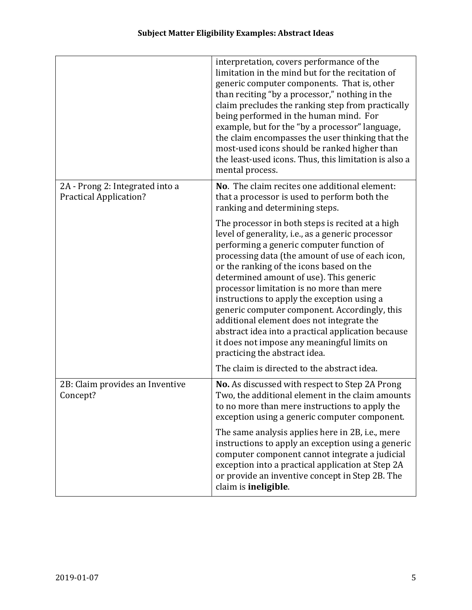|                                                                  | interpretation, covers performance of the<br>limitation in the mind but for the recitation of<br>generic computer components. That is, other<br>than reciting "by a processor," nothing in the<br>claim precludes the ranking step from practically<br>being performed in the human mind. For<br>example, but for the "by a processor" language,<br>the claim encompasses the user thinking that the<br>most-used icons should be ranked higher than<br>the least-used icons. Thus, this limitation is also a<br>mental process.                                                                                              |
|------------------------------------------------------------------|-------------------------------------------------------------------------------------------------------------------------------------------------------------------------------------------------------------------------------------------------------------------------------------------------------------------------------------------------------------------------------------------------------------------------------------------------------------------------------------------------------------------------------------------------------------------------------------------------------------------------------|
| 2A - Prong 2: Integrated into a<br><b>Practical Application?</b> | No. The claim recites one additional element:<br>that a processor is used to perform both the<br>ranking and determining steps.                                                                                                                                                                                                                                                                                                                                                                                                                                                                                               |
|                                                                  | The processor in both steps is recited at a high<br>level of generality, i.e., as a generic processor<br>performing a generic computer function of<br>processing data (the amount of use of each icon,<br>or the ranking of the icons based on the<br>determined amount of use). This generic<br>processor limitation is no more than mere<br>instructions to apply the exception using a<br>generic computer component. Accordingly, this<br>additional element does not integrate the<br>abstract idea into a practical application because<br>it does not impose any meaningful limits on<br>practicing the abstract idea. |
|                                                                  | The claim is directed to the abstract idea.                                                                                                                                                                                                                                                                                                                                                                                                                                                                                                                                                                                   |
| 2B: Claim provides an Inventive<br>Concept?                      | No. As discussed with respect to Step 2A Prong<br>Two, the additional element in the claim amounts<br>to no more than mere instructions to apply the<br>exception using a generic computer component.                                                                                                                                                                                                                                                                                                                                                                                                                         |
|                                                                  | The same analysis applies here in 2B, i.e., mere<br>instructions to apply an exception using a generic<br>computer component cannot integrate a judicial<br>exception into a practical application at Step 2A<br>or provide an inventive concept in Step 2B. The<br>claim is ineligible.                                                                                                                                                                                                                                                                                                                                      |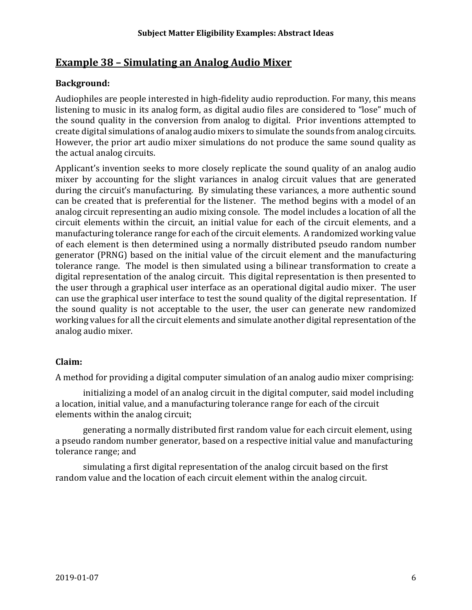## **Example 38 – Simulating an Analog Audio Mixer**

### **Background:**

Audiophiles are people interested in high-fidelity audio reproduction. For many, this means listening to music in its analog form, as digital audio files are considered to "lose" much of the sound quality in the conversion from analog to digital. Prior inventions attempted to create digital simulations of analog audio mixers to simulate the sounds from analog circuits. However, the prior art audio mixer simulations do not produce the same sound quality as the actual analog circuits.

Applicant's invention seeks to more closely replicate the sound quality of an analog audio mixer by accounting for the slight variances in analog circuit values that are generated during the circuit's manufacturing. By simulating these variances, a more authentic sound can be created that is preferential for the listener. The method begins with a model of an analog circuit representing an audio mixing console. The model includes a location of all the circuit elements within the circuit, an initial value for each of the circuit elements, and a manufacturing tolerance range for each of the circuit elements. A randomized working value of each element is then determined using a normally distributed pseudo random number generator (PRNG) based on the initial value of the circuit element and the manufacturing tolerance range. The model is then simulated using a bilinear transformation to create a digital representation of the analog circuit. This digital representation is then presented to the user through a graphical user interface as an operational digital audio mixer. The user can use the graphical user interface to test the sound quality of the digital representation. If the sound quality is not acceptable to the user, the user can generate new randomized working values for all the circuit elements and simulate another digital representation of the analog audio mixer.

## **Claim:**

A method for providing a digital computer simulation of an analog audio mixer comprising:

initializing a model of an analog circuit in the digital computer, said model including a location, initial value, and a manufacturing tolerance range for each of the circuit elements within the analog circuit;

generating a normally distributed first random value for each circuit element, using a pseudo random number generator, based on a respective initial value and manufacturing tolerance range; and

simulating a first digital representation of the analog circuit based on the first random value and the location of each circuit element within the analog circuit.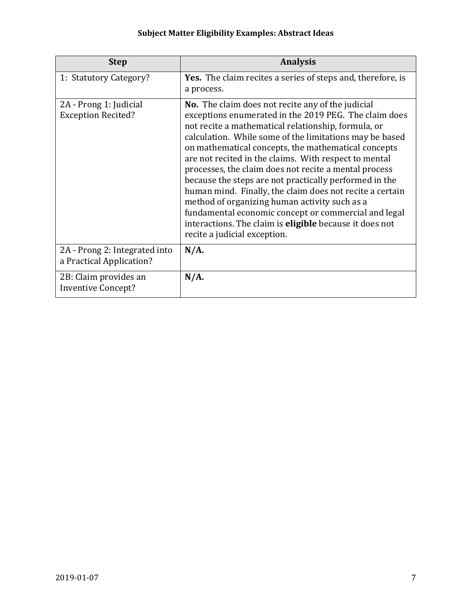| <b>Step</b>                                               | <b>Analysis</b>                                                                                                                                                                                                                                                                                                                                                                                                                                                                                                                                                                                                                                                                                                                               |
|-----------------------------------------------------------|-----------------------------------------------------------------------------------------------------------------------------------------------------------------------------------------------------------------------------------------------------------------------------------------------------------------------------------------------------------------------------------------------------------------------------------------------------------------------------------------------------------------------------------------------------------------------------------------------------------------------------------------------------------------------------------------------------------------------------------------------|
| 1: Statutory Category?                                    | Yes. The claim recites a series of steps and, therefore, is<br>a process.                                                                                                                                                                                                                                                                                                                                                                                                                                                                                                                                                                                                                                                                     |
| 2A - Prong 1: Judicial<br><b>Exception Recited?</b>       | <b>No.</b> The claim does not recite any of the judicial<br>exceptions enumerated in the 2019 PEG. The claim does<br>not recite a mathematical relationship, formula, or<br>calculation. While some of the limitations may be based<br>on mathematical concepts, the mathematical concepts<br>are not recited in the claims. With respect to mental<br>processes, the claim does not recite a mental process<br>because the steps are not practically performed in the<br>human mind. Finally, the claim does not recite a certain<br>method of organizing human activity such as a<br>fundamental economic concept or commercial and legal<br>interactions. The claim is <b>eligible</b> because it does not<br>recite a judicial exception. |
| 2A - Prong 2: Integrated into<br>a Practical Application? | $N/A$ .                                                                                                                                                                                                                                                                                                                                                                                                                                                                                                                                                                                                                                                                                                                                       |
| 2B: Claim provides an<br><b>Inventive Concept?</b>        | $N/A$ .                                                                                                                                                                                                                                                                                                                                                                                                                                                                                                                                                                                                                                                                                                                                       |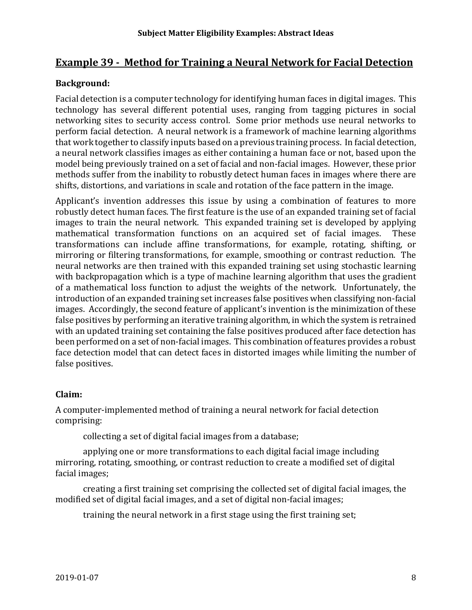## **Example 39 - Method for Training a Neural Network for Facial Detection**

## **Background:**

Facial detection is a computer technology for identifying human faces in digital images. This technology has several different potential uses, ranging from tagging pictures in social networking sites to security access control. Some prior methods use neural networks to perform facial detection. A neural network is a framework of machine learning algorithms that work together to classify inputs based on a previous training process. In facial detection, a neural network classifies images as either containing a human face or not, based upon the model being previously trained on a set of facial and non-facial images. However, these prior methods suffer from the inability to robustly detect human faces in images where there are shifts, distortions, and variations in scale and rotation of the face pattern in the image.

Applicant's invention addresses this issue by using a combination of features to more robustly detect human faces. The first feature is the use of an expanded training set of facial images to train the neural network. This expanded training set is developed by applying mathematical transformation functions on an acquired set of facial images. These mathematical transformation functions on an acquired set of facial images. transformations can include affine transformations, for example, rotating, shifting, or mirroring or filtering transformations, for example, smoothing or contrast reduction. The neural networks are then trained with this expanded training set using stochastic learning with backpropagation which is a type of machine learning algorithm that uses the gradient of a mathematical loss function to adjust the weights of the network. Unfortunately, the introduction of an expanded training set increases false positives when classifying non-facial images. Accordingly, the second feature of applicant's invention is the minimization of these false positives by performing an iterative training algorithm, in which the system is retrained with an updated training set containing the false positives produced after face detection has been performed on a set of non-facial images. This combination of features provides a robust face detection model that can detect faces in distorted images while limiting the number of false positives.

#### **Claim:**

A computer-implemented method of training a neural network for facial detection comprising:

collecting a set of digital facial images from a database;

applying one or more transformations to each digital facial image including mirroring, rotating, smoothing, or contrast reduction to create a modified set of digital facial images;

creating a first training set comprising the collected set of digital facial images, the modified set of digital facial images, and a set of digital non-facial images;

training the neural network in a first stage using the first training set;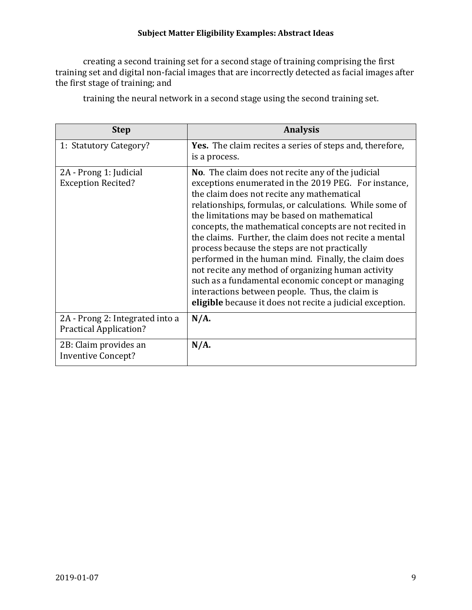#### **Subject Matter Eligibility Examples: Abstract Ideas**

creating a second training set for a second stage of training comprising the first training set and digital non-facial images that are incorrectly detected as facial images after the first stage of training; and

| <b>Step</b>                                                      | <b>Analysis</b>                                                                                                                                                                                                                                                                                                                                                                                                                                                                                                                                                                                                                                                                                                                     |
|------------------------------------------------------------------|-------------------------------------------------------------------------------------------------------------------------------------------------------------------------------------------------------------------------------------------------------------------------------------------------------------------------------------------------------------------------------------------------------------------------------------------------------------------------------------------------------------------------------------------------------------------------------------------------------------------------------------------------------------------------------------------------------------------------------------|
| 1: Statutory Category?                                           | Yes. The claim recites a series of steps and, therefore,<br>is a process.                                                                                                                                                                                                                                                                                                                                                                                                                                                                                                                                                                                                                                                           |
| 2A - Prong 1: Judicial<br><b>Exception Recited?</b>              | <b>No.</b> The claim does not recite any of the judicial<br>exceptions enumerated in the 2019 PEG. For instance,<br>the claim does not recite any mathematical<br>relationships, formulas, or calculations. While some of<br>the limitations may be based on mathematical<br>concepts, the mathematical concepts are not recited in<br>the claims. Further, the claim does not recite a mental<br>process because the steps are not practically<br>performed in the human mind. Finally, the claim does<br>not recite any method of organizing human activity<br>such as a fundamental economic concept or managing<br>interactions between people. Thus, the claim is<br>eligible because it does not recite a judicial exception. |
| 2A - Prong 2: Integrated into a<br><b>Practical Application?</b> | $N/A$ .                                                                                                                                                                                                                                                                                                                                                                                                                                                                                                                                                                                                                                                                                                                             |
| 2B: Claim provides an<br><b>Inventive Concept?</b>               | $N/A$ .                                                                                                                                                                                                                                                                                                                                                                                                                                                                                                                                                                                                                                                                                                                             |

training the neural network in a second stage using the second training set.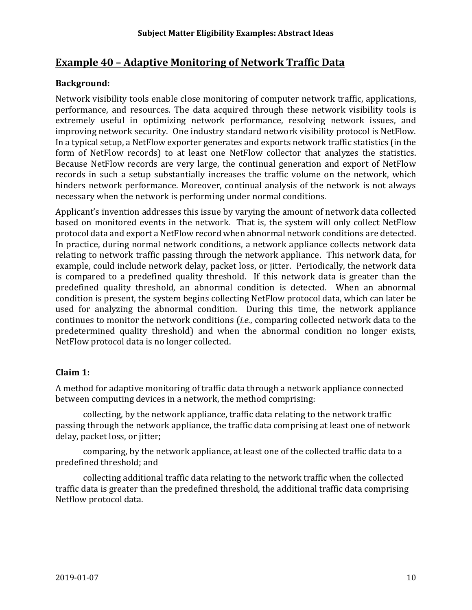# **Example 40 – Adaptive Monitoring of Network Traffic Data**

## **Background:**

Network visibility tools enable close monitoring of computer network traffic, applications, performance, and resources. The data acquired through these network visibility tools is extremely useful in optimizing network performance, resolving network issues, and improving network security. One industry standard network visibility protocol is NetFlow. In a typical setup, a NetFlow exporter generates and exports network traffic statistics (in the form of NetFlow records) to at least one NetFlow collector that analyzes the statistics. Because NetFlow records are very large, the continual generation and export of NetFlow records in such a setup substantially increases the traffic volume on the network, which hinders network performance. Moreover, continual analysis of the network is not always necessary when the network is performing under normal conditions.

Applicant's invention addresses this issue by varying the amount of network data collected based on monitored events in the network. That is, the system will only collect NetFlow protocol data and export a NetFlow record when abnormal network conditions are detected. In practice, during normal network conditions, a network appliance collects network data relating to network traffic passing through the network appliance. This network data, for example, could include network delay, packet loss, or jitter. Periodically, the network data is compared to a predefined quality threshold. If this network data is greater than the predefined quality threshold, an abnormal condition is detected. When an abnormal condition is present, the system begins collecting NetFlow protocol data, which can later be used for analyzing the abnormal condition. During this time, the network appliance continues to monitor the network conditions (*i.e.*, comparing collected network data to the predetermined quality threshold) and when the abnormal condition no longer exists, NetFlow protocol data is no longer collected.

#### **Claim 1:**

A method for adaptive monitoring of traffic data through a network appliance connected between computing devices in a network, the method comprising:

collecting, by the network appliance, traffic data relating to the network traffic passing through the network appliance, the traffic data comprising at least one of network delay, packet loss, or jitter;

comparing, by the network appliance, at least one of the collected traffic data to a predefined threshold; and

collecting additional traffic data relating to the network traffic when the collected traffic data is greater than the predefined threshold, the additional traffic data comprising Netflow protocol data.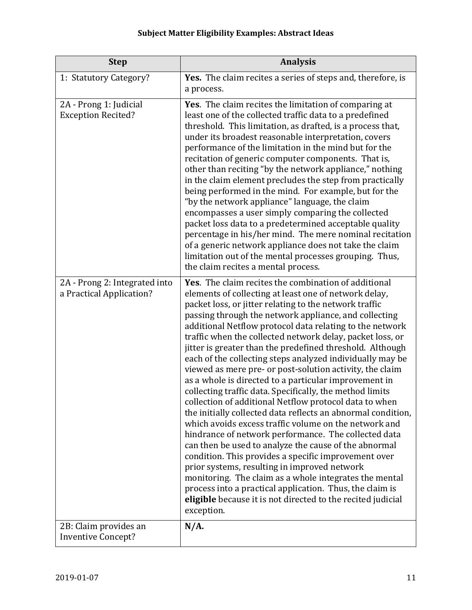| <b>Step</b>                                               | <b>Analysis</b>                                                                                                                                                                                                                                                                                                                                                                                                                                                                                                                                                                                                                                                                                                                                                                                                                                                                                                                                                                                                                                                                                                                                                                                                                                                                     |
|-----------------------------------------------------------|-------------------------------------------------------------------------------------------------------------------------------------------------------------------------------------------------------------------------------------------------------------------------------------------------------------------------------------------------------------------------------------------------------------------------------------------------------------------------------------------------------------------------------------------------------------------------------------------------------------------------------------------------------------------------------------------------------------------------------------------------------------------------------------------------------------------------------------------------------------------------------------------------------------------------------------------------------------------------------------------------------------------------------------------------------------------------------------------------------------------------------------------------------------------------------------------------------------------------------------------------------------------------------------|
| 1: Statutory Category?                                    | Yes. The claim recites a series of steps and, therefore, is<br>a process.                                                                                                                                                                                                                                                                                                                                                                                                                                                                                                                                                                                                                                                                                                                                                                                                                                                                                                                                                                                                                                                                                                                                                                                                           |
| 2A - Prong 1: Judicial<br><b>Exception Recited?</b>       | Yes. The claim recites the limitation of comparing at<br>least one of the collected traffic data to a predefined<br>threshold. This limitation, as drafted, is a process that,<br>under its broadest reasonable interpretation, covers<br>performance of the limitation in the mind but for the<br>recitation of generic computer components. That is,<br>other than reciting "by the network appliance," nothing<br>in the claim element precludes the step from practically<br>being performed in the mind. For example, but for the<br>"by the network appliance" language, the claim<br>encompasses a user simply comparing the collected<br>packet loss data to a predetermined acceptable quality<br>percentage in his/her mind. The mere nominal recitation<br>of a generic network appliance does not take the claim<br>limitation out of the mental processes grouping. Thus,<br>the claim recites a mental process.                                                                                                                                                                                                                                                                                                                                                       |
| 2A - Prong 2: Integrated into<br>a Practical Application? | Yes. The claim recites the combination of additional<br>elements of collecting at least one of network delay,<br>packet loss, or jitter relating to the network traffic<br>passing through the network appliance, and collecting<br>additional Netflow protocol data relating to the network<br>traffic when the collected network delay, packet loss, or<br>jitter is greater than the predefined threshold. Although<br>each of the collecting steps analyzed individually may be<br>viewed as mere pre- or post-solution activity, the claim<br>as a whole is directed to a particular improvement in<br>collecting traffic data. Specifically, the method limits<br>collection of additional Netflow protocol data to when<br>the initially collected data reflects an abnormal condition,<br>which avoids excess traffic volume on the network and<br>hindrance of network performance. The collected data<br>can then be used to analyze the cause of the abnormal<br>condition. This provides a specific improvement over<br>prior systems, resulting in improved network<br>monitoring. The claim as a whole integrates the mental<br>process into a practical application. Thus, the claim is<br>eligible because it is not directed to the recited judicial<br>exception. |
| 2B: Claim provides an<br><b>Inventive Concept?</b>        | $N/A$ .                                                                                                                                                                                                                                                                                                                                                                                                                                                                                                                                                                                                                                                                                                                                                                                                                                                                                                                                                                                                                                                                                                                                                                                                                                                                             |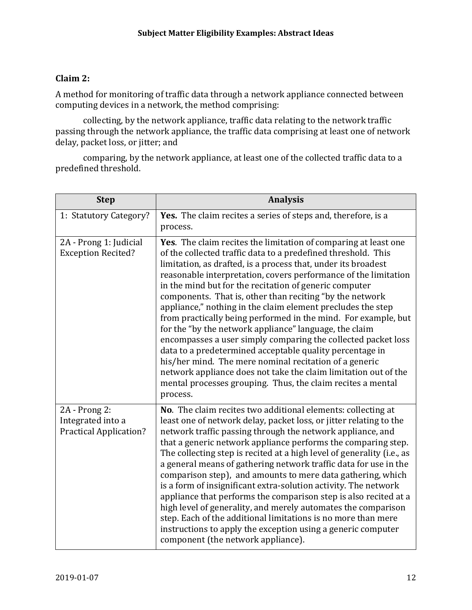## **Claim 2:**

A method for monitoring of traffic data through a network appliance connected between computing devices in a network, the method comprising:

collecting, by the network appliance, traffic data relating to the network traffic passing through the network appliance, the traffic data comprising at least one of network delay, packet loss, or jitter; and

comparing, by the network appliance, at least one of the collected traffic data to a predefined threshold.

| <b>Step</b>                                                         | <b>Analysis</b>                                                                                                                                                                                                                                                                                                                                                                                                                                                                                                                                                                                                                                                                                                                                                                                                                                                                                                            |
|---------------------------------------------------------------------|----------------------------------------------------------------------------------------------------------------------------------------------------------------------------------------------------------------------------------------------------------------------------------------------------------------------------------------------------------------------------------------------------------------------------------------------------------------------------------------------------------------------------------------------------------------------------------------------------------------------------------------------------------------------------------------------------------------------------------------------------------------------------------------------------------------------------------------------------------------------------------------------------------------------------|
| 1: Statutory Category?                                              | Yes. The claim recites a series of steps and, therefore, is a<br>process.                                                                                                                                                                                                                                                                                                                                                                                                                                                                                                                                                                                                                                                                                                                                                                                                                                                  |
| 2A - Prong 1: Judicial<br><b>Exception Recited?</b>                 | Yes. The claim recites the limitation of comparing at least one<br>of the collected traffic data to a predefined threshold. This<br>limitation, as drafted, is a process that, under its broadest<br>reasonable interpretation, covers performance of the limitation<br>in the mind but for the recitation of generic computer<br>components. That is, other than reciting "by the network<br>appliance," nothing in the claim element precludes the step<br>from practically being performed in the mind. For example, but<br>for the "by the network appliance" language, the claim<br>encompasses a user simply comparing the collected packet loss<br>data to a predetermined acceptable quality percentage in<br>his/her mind. The mere nominal recitation of a generic<br>network appliance does not take the claim limitation out of the<br>mental processes grouping. Thus, the claim recites a mental<br>process. |
| 2A - Prong 2:<br>Integrated into a<br><b>Practical Application?</b> | No. The claim recites two additional elements: collecting at<br>least one of network delay, packet loss, or jitter relating to the<br>network traffic passing through the network appliance, and<br>that a generic network appliance performs the comparing step.<br>The collecting step is recited at a high level of generality (i.e., as<br>a general means of gathering network traffic data for use in the<br>comparison step), and amounts to mere data gathering, which<br>is a form of insignificant extra-solution activity. The network<br>appliance that performs the comparison step is also recited at a<br>high level of generality, and merely automates the comparison<br>step. Each of the additional limitations is no more than mere<br>instructions to apply the exception using a generic computer<br>component (the network appliance).                                                              |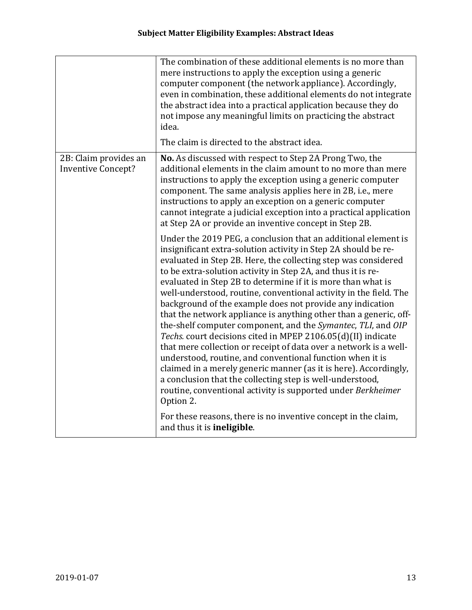|                                                    | The combination of these additional elements is no more than<br>mere instructions to apply the exception using a generic<br>computer component (the network appliance). Accordingly,<br>even in combination, these additional elements do not integrate<br>the abstract idea into a practical application because they do<br>not impose any meaningful limits on practicing the abstract<br>idea.                                                                                                                                                                                                                                                                                                                                                                                                                                                                                                                                                                                                                         |
|----------------------------------------------------|---------------------------------------------------------------------------------------------------------------------------------------------------------------------------------------------------------------------------------------------------------------------------------------------------------------------------------------------------------------------------------------------------------------------------------------------------------------------------------------------------------------------------------------------------------------------------------------------------------------------------------------------------------------------------------------------------------------------------------------------------------------------------------------------------------------------------------------------------------------------------------------------------------------------------------------------------------------------------------------------------------------------------|
|                                                    | The claim is directed to the abstract idea.                                                                                                                                                                                                                                                                                                                                                                                                                                                                                                                                                                                                                                                                                                                                                                                                                                                                                                                                                                               |
| 2B: Claim provides an<br><b>Inventive Concept?</b> | No. As discussed with respect to Step 2A Prong Two, the<br>additional elements in the claim amount to no more than mere<br>instructions to apply the exception using a generic computer<br>component. The same analysis applies here in 2B, i.e., mere<br>instructions to apply an exception on a generic computer<br>cannot integrate a judicial exception into a practical application<br>at Step 2A or provide an inventive concept in Step 2B.                                                                                                                                                                                                                                                                                                                                                                                                                                                                                                                                                                        |
|                                                    | Under the 2019 PEG, a conclusion that an additional element is<br>insignificant extra-solution activity in Step 2A should be re-<br>evaluated in Step 2B. Here, the collecting step was considered<br>to be extra-solution activity in Step 2A, and thus it is re-<br>evaluated in Step 2B to determine if it is more than what is<br>well-understood, routine, conventional activity in the field. The<br>background of the example does not provide any indication<br>that the network appliance is anything other than a generic, off-<br>the-shelf computer component, and the Symantec, TLI, and OIP<br>Techs. court decisions cited in MPEP 2106.05(d)(II) indicate<br>that mere collection or receipt of data over a network is a well-<br>understood, routine, and conventional function when it is<br>claimed in a merely generic manner (as it is here). Accordingly,<br>a conclusion that the collecting step is well-understood,<br>routine, conventional activity is supported under Berkheimer<br>Option 2. |
|                                                    | For these reasons, there is no inventive concept in the claim,<br>and thus it is ineligible.                                                                                                                                                                                                                                                                                                                                                                                                                                                                                                                                                                                                                                                                                                                                                                                                                                                                                                                              |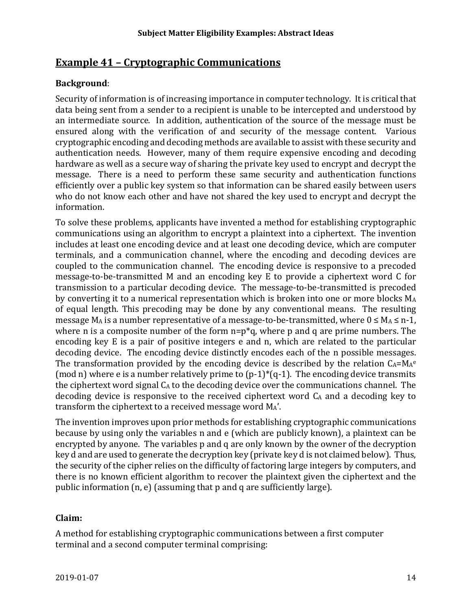# **Example 41 – Cryptographic Communications**

## **Background**:

Security of information is of increasing importance in computer technology. It is critical that data being sent from a sender to a recipient is unable to be intercepted and understood by an intermediate source. In addition, authentication of the source of the message must be ensured along with the verification of and security of the message content. Various cryptographic encoding and decoding methods are available to assist with these security and authentication needs. However, many of them require expensive encoding and decoding hardware as well as a secure way of sharing the private key used to encrypt and decrypt the message. There is a need to perform these same security and authentication functions efficiently over a public key system so that information can be shared easily between users who do not know each other and have not shared the key used to encrypt and decrypt the information.

To solve these problems, applicants have invented a method for establishing cryptographic communications using an algorithm to encrypt a plaintext into a ciphertext. The invention includes at least one encoding device and at least one decoding device, which are computer terminals, and a communication channel, where the encoding and decoding devices are coupled to the communication channel. The encoding device is responsive to a precoded message-to-be-transmitted M and an encoding key E to provide a ciphertext word C for transmission to a particular decoding device. The message-to-be-transmitted is precoded by converting it to a numerical representation which is broken into one or more blocks MA of equal length. This precoding may be done by any conventional means. The resulting message M<sub>A</sub> is a number representative of a message-to-be-transmitted, where  $0 \le M_A \le n-1$ , where n is a composite number of the form  $n=p^*q$ , where p and q are prime numbers. The encoding key E is a pair of positive integers e and n, which are related to the particular decoding device. The encoding device distinctly encodes each of the n possible messages. The transformation provided by the encoding device is described by the relation  $C_A = M_Ae$ (mod n) where e is a number relatively prime to  $(p-1)^*(q-1)$ . The encoding device transmits the ciphertext word signal  $C_A$  to the decoding device over the communications channel. The decoding device is responsive to the received ciphertext word  $C_A$  and a decoding key to transform the ciphertext to a received message word MA'.

The invention improves upon prior methods for establishing cryptographic communications because by using only the variables n and e (which are publicly known), a plaintext can be encrypted by anyone. The variables p and q are only known by the owner of the decryption key d and are used to generate the decryption key (private key d is not claimed below). Thus, the security of the cipher relies on the difficulty of factoring large integers by computers, and there is no known efficient algorithm to recover the plaintext given the ciphertext and the public information (n, e) (assuming that p and q are sufficiently large).

#### **Claim:**

A method for establishing cryptographic communications between a first computer terminal and a second computer terminal comprising: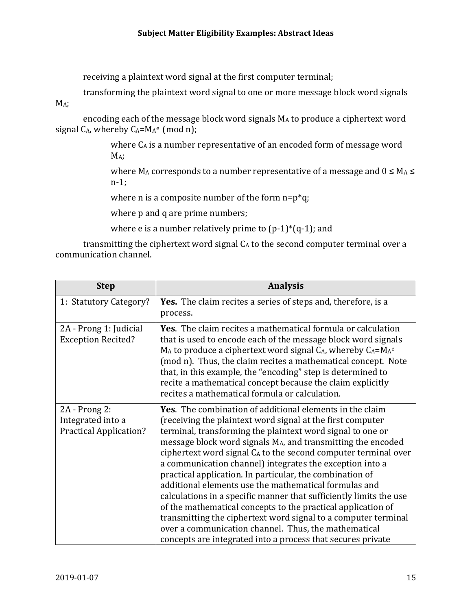receiving a plaintext word signal at the first computer terminal;

transforming the plaintext word signal to one or more message block word signals

M<sub>A</sub>:

encoding each of the message block word signals MA to produce a ciphertext word signal  $C_A$ , whereby  $C_A = M_A^e$  (mod n);

> where C<sub>A</sub> is a number representative of an encoded form of message word M<sub>A</sub>;

where  $M_A$  corresponds to a number representative of a message and  $0 \le M_A \le$ n-1;

where n is a composite number of the form  $n=p^*q$ ;

where p and q are prime numbers;

where e is a number relatively prime to  $(p-1)^*(q-1)$ ; and

transmitting the ciphertext word signal CA to the second computer terminal over a communication channel.

| <b>Step</b>                                                            | <b>Analysis</b>                                                                                                                                                                                                                                                                                                                                                                                                                                                                                                                                                                                                                                                                                                                                                                                                                              |
|------------------------------------------------------------------------|----------------------------------------------------------------------------------------------------------------------------------------------------------------------------------------------------------------------------------------------------------------------------------------------------------------------------------------------------------------------------------------------------------------------------------------------------------------------------------------------------------------------------------------------------------------------------------------------------------------------------------------------------------------------------------------------------------------------------------------------------------------------------------------------------------------------------------------------|
| 1: Statutory Category?                                                 | <b>Yes.</b> The claim recites a series of steps and, therefore, is a<br>process.                                                                                                                                                                                                                                                                                                                                                                                                                                                                                                                                                                                                                                                                                                                                                             |
| 2A - Prong 1: Judicial<br><b>Exception Recited?</b>                    | <b>Yes.</b> The claim recites a mathematical formula or calculation<br>that is used to encode each of the message block word signals<br>MA to produce a ciphertext word signal CA, whereby CA=MA <sup>e</sup><br>(mod n). Thus, the claim recites a mathematical concept. Note<br>that, in this example, the "encoding" step is determined to<br>recite a mathematical concept because the claim explicitly<br>recites a mathematical formula or calculation.                                                                                                                                                                                                                                                                                                                                                                                |
| $2A - Prong 2$ :<br>Integrated into a<br><b>Practical Application?</b> | <b>Yes.</b> The combination of additional elements in the claim<br>(receiving the plaintext word signal at the first computer<br>terminal, transforming the plaintext word signal to one or<br>message block word signals MA, and transmitting the encoded<br>ciphertext word signal CA to the second computer terminal over<br>a communication channel) integrates the exception into a<br>practical application. In particular, the combination of<br>additional elements use the mathematical formulas and<br>calculations in a specific manner that sufficiently limits the use<br>of the mathematical concepts to the practical application of<br>transmitting the ciphertext word signal to a computer terminal<br>over a communication channel. Thus, the mathematical<br>concepts are integrated into a process that secures private |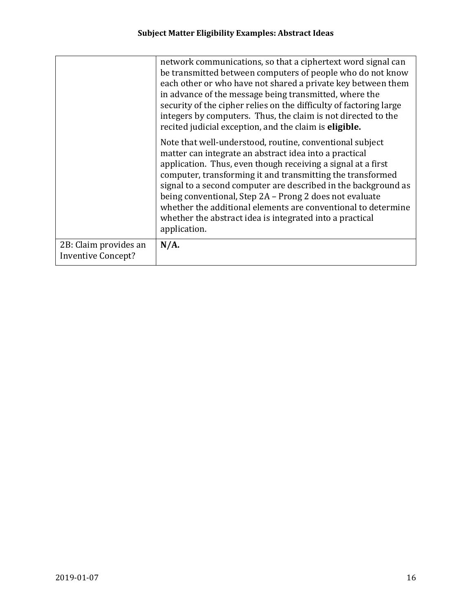|                                                    | network communications, so that a ciphertext word signal can<br>be transmitted between computers of people who do not know<br>each other or who have not shared a private key between them<br>in advance of the message being transmitted, where the<br>security of the cipher relies on the difficulty of factoring large<br>integers by computers. Thus, the claim is not directed to the<br>recited judicial exception, and the claim is eligible.                                                                      |
|----------------------------------------------------|----------------------------------------------------------------------------------------------------------------------------------------------------------------------------------------------------------------------------------------------------------------------------------------------------------------------------------------------------------------------------------------------------------------------------------------------------------------------------------------------------------------------------|
|                                                    | Note that well-understood, routine, conventional subject<br>matter can integrate an abstract idea into a practical<br>application. Thus, even though receiving a signal at a first<br>computer, transforming it and transmitting the transformed<br>signal to a second computer are described in the background as<br>being conventional, Step 2A - Prong 2 does not evaluate<br>whether the additional elements are conventional to determine<br>whether the abstract idea is integrated into a practical<br>application. |
| 2B: Claim provides an<br><b>Inventive Concept?</b> | $N/A$ .                                                                                                                                                                                                                                                                                                                                                                                                                                                                                                                    |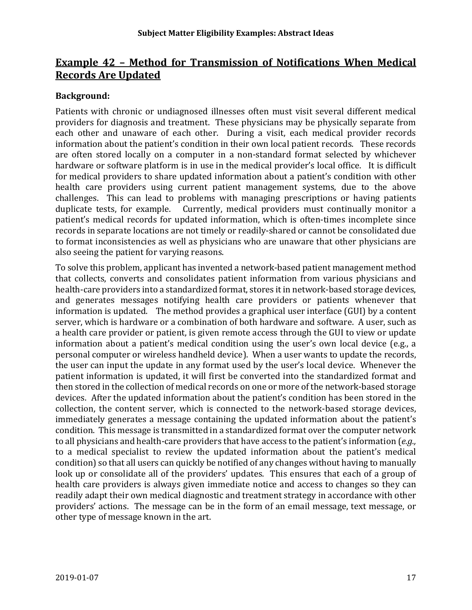# **Example 42 – Method for Transmission of Notifications When Medical Records Are Updated**

## **Background:**

Patients with chronic or undiagnosed illnesses often must visit several different medical providers for diagnosis and treatment. These physicians may be physically separate from each other and unaware of each other. During a visit, each medical provider records information about the patient's condition in their own local patient records. These records are often stored locally on a computer in a non-standard format selected by whichever hardware or software platform is in use in the medical provider's local office. It is difficult for medical providers to share updated information about a patient's condition with other health care providers using current patient management systems, due to the above challenges. This can lead to problems with managing prescriptions or having patients duplicate tests, for example. Currently, medical providers must continually monitor a patient's medical records for updated information, which is often-times incomplete since records in separate locations are not timely or readily-shared or cannot be consolidated due to format inconsistencies as well as physicians who are unaware that other physicians are also seeing the patient for varying reasons.

To solve this problem, applicant has invented a network-based patient management method that collects, converts and consolidates patient information from various physicians and health-care providers into a standardized format, stores it in network-based storage devices, and generates messages notifying health care providers or patients whenever that information is updated. The method provides a graphical user interface (GUI) by a content server, which is hardware or a combination of both hardware and software. A user, such as a health care provider or patient, is given remote access through the GUI to view or update information about a patient's medical condition using the user's own local device (e.g., a personal computer or wireless handheld device). When a user wants to update the records, the user can input the update in any format used by the user's local device. Whenever the patient information is updated, it will first be converted into the standardized format and then stored in the collection of medical records on one or more of the network-based storage devices. After the updated information about the patient's condition has been stored in the collection, the content server, which is connected to the network-based storage devices, immediately generates a message containing the updated information about the patient's condition. This message is transmitted in a standardized format over the computer network to all physicians and health-care providers that have access to the patient's information (*e.g.,* to a medical specialist to review the updated information about the patient's medical condition) so that all users can quickly be notified of any changes without having to manually look up or consolidate all of the providers' updates. This ensures that each of a group of health care providers is always given immediate notice and access to changes so they can readily adapt their own medical diagnostic and treatment strategy in accordance with other providers' actions. The message can be in the form of an email message, text message, or other type of message known in the art.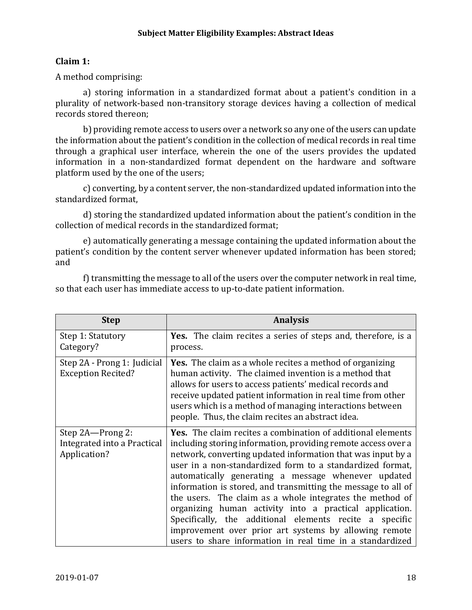## **Claim 1:**

A method comprising:

a) storing information in a standardized format about a patient's condition in a plurality of network-based non-transitory storage devices having a collection of medical records stored thereon;

b) providing remote access to users over a network so any one of the users can update the information about the patient's condition in the collection of medical records in real time through a graphical user interface, wherein the one of the users provides the updated information in a non-standardized format dependent on the hardware and software platform used by the one of the users;

c) converting, by a content server, the non-standardized updated information into the standardized format,

d) storing the standardized updated information about the patient's condition in the collection of medical records in the standardized format;

e) automatically generating a message containing the updated information about the patient's condition by the content server whenever updated information has been stored; and

f) transmitting the message to all of the users over the computer network in real time, so that each user has immediate access to up-to-date patient information.

| <b>Step</b>                                                     | <b>Analysis</b>                                                                                                                                                                                                                                                                                                                                                                                                                                                                                                                                                                                                                                                                                 |
|-----------------------------------------------------------------|-------------------------------------------------------------------------------------------------------------------------------------------------------------------------------------------------------------------------------------------------------------------------------------------------------------------------------------------------------------------------------------------------------------------------------------------------------------------------------------------------------------------------------------------------------------------------------------------------------------------------------------------------------------------------------------------------|
| Step 1: Statutory<br>Category?                                  | <b>Yes.</b> The claim recites a series of steps and, therefore, is a<br>process.                                                                                                                                                                                                                                                                                                                                                                                                                                                                                                                                                                                                                |
| Step 2A - Prong 1: Judicial<br><b>Exception Recited?</b>        | <b>Yes.</b> The claim as a whole recites a method of organizing<br>human activity. The claimed invention is a method that<br>allows for users to access patients' medical records and<br>receive updated patient information in real time from other<br>users which is a method of managing interactions between<br>people. Thus, the claim recites an abstract idea.                                                                                                                                                                                                                                                                                                                           |
| Step 2A-Prong 2:<br>Integrated into a Practical<br>Application? | <b>Yes.</b> The claim recites a combination of additional elements<br>including storing information, providing remote access over a<br>network, converting updated information that was input by a<br>user in a non-standardized form to a standardized format,<br>automatically generating a message whenever updated<br>information is stored, and transmitting the message to all of<br>the users. The claim as a whole integrates the method of<br>organizing human activity into a practical application.<br>Specifically, the additional elements recite a specific<br>improvement over prior art systems by allowing remote<br>users to share information in real time in a standardized |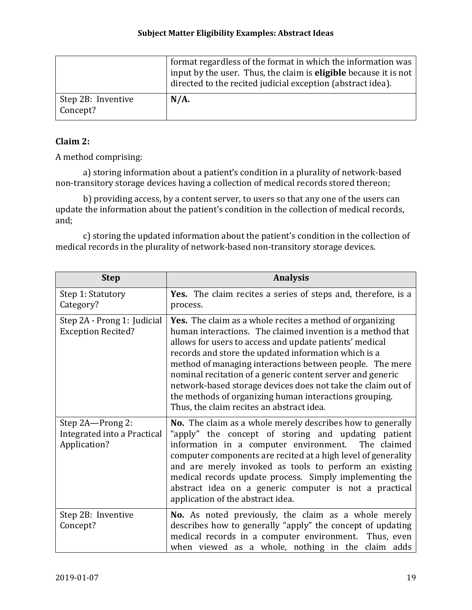|                                | format regardless of the format in which the information was<br>input by the user. Thus, the claim is <b>eligible</b> because it is not<br>directed to the recited judicial exception (abstract idea). |
|--------------------------------|--------------------------------------------------------------------------------------------------------------------------------------------------------------------------------------------------------|
| Step 2B: Inventive<br>Concept? | $N/A$ .                                                                                                                                                                                                |

## **Claim 2:**

A method comprising:

a) storing information about a patient's condition in a plurality of network-based non-transitory storage devices having a collection of medical records stored thereon;

b) providing access, by a content server, to users so that any one of the users can update the information about the patient's condition in the collection of medical records, and;

c) storing the updated information about the patient's condition in the collection of medical records in the plurality of network-based non-transitory storage devices.

| <b>Step</b>                                                     | <b>Analysis</b>                                                                                                                                                                                                                                                                                                                                                                                                                                                                                                                            |
|-----------------------------------------------------------------|--------------------------------------------------------------------------------------------------------------------------------------------------------------------------------------------------------------------------------------------------------------------------------------------------------------------------------------------------------------------------------------------------------------------------------------------------------------------------------------------------------------------------------------------|
| Step 1: Statutory<br>Category?                                  | Yes. The claim recites a series of steps and, therefore, is a<br>process.                                                                                                                                                                                                                                                                                                                                                                                                                                                                  |
| Step 2A - Prong 1: Judicial<br><b>Exception Recited?</b>        | Yes. The claim as a whole recites a method of organizing<br>human interactions. The claimed invention is a method that<br>allows for users to access and update patients' medical<br>records and store the updated information which is a<br>method of managing interactions between people. The mere<br>nominal recitation of a generic content server and generic<br>network-based storage devices does not take the claim out of<br>the methods of organizing human interactions grouping.<br>Thus, the claim recites an abstract idea. |
| Step 2A-Prong 2:<br>Integrated into a Practical<br>Application? | No. The claim as a whole merely describes how to generally<br>"apply" the concept of storing and updating patient<br>information in a computer environment.<br>The claimed<br>computer components are recited at a high level of generality<br>and are merely invoked as tools to perform an existing<br>medical records update process. Simply implementing the<br>abstract idea on a generic computer is not a practical<br>application of the abstract idea.                                                                            |
| Step 2B: Inventive<br>Concept?                                  | No. As noted previously, the claim as a whole merely<br>describes how to generally "apply" the concept of updating<br>medical records in a computer environment. Thus, even<br>when viewed as a whole, nothing in the claim adds                                                                                                                                                                                                                                                                                                           |